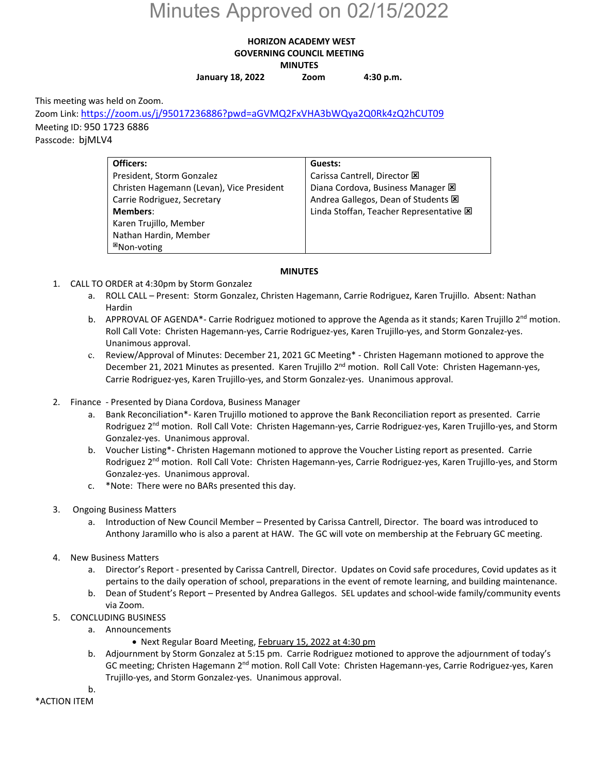## Minutes Approved on 02/15/2022

## **HORIZON ACADEMY WEST GOVERNING COUNCIL MEETING MINUTES**

**January 18, 2022 Zoom 4:30 p.m.**

This meeting was held on Zoom.

Zoom Link: https://zoom.us/j/95017236886?pwd=aGVMQ2FxVHA3bWQya2Q0Rk4zQ2hCUT09 Meeting ID: 950 1723 6886 Passcode: bjMLV4

| Officers:                                 | Guests:                                 |
|-------------------------------------------|-----------------------------------------|
| President, Storm Gonzalez                 | Carissa Cantrell, Director X            |
| Christen Hagemann (Levan), Vice President | Diana Cordova, Business Manager E       |
| Carrie Rodriguez, Secretary               | Andrea Gallegos, Dean of Students E     |
| Members:                                  | Linda Stoffan, Teacher Representative E |
| Karen Trujillo, Member                    |                                         |
| Nathan Hardin, Member                     |                                         |
| <sup>⊠</sup> Non-voting                   |                                         |

## **MINUTES**

- 1. CALL TO ORDER at 4:30pm by Storm Gonzalez
	- a. ROLL CALL Present: Storm Gonzalez, Christen Hagemann, Carrie Rodriguez, Karen Trujillo. Absent: Nathan Hardin
	- b. APPROVAL OF AGENDA\*- Carrie Rodriguez motioned to approve the Agenda as it stands; Karen Trujillo 2<sup>nd</sup> motion. Roll Call Vote: Christen Hagemann‐yes, Carrie Rodriguez‐yes, Karen Trujillo‐yes, and Storm Gonzalez‐yes. Unanimous approval.
	- c. Review/Approval of Minutes: December 21, 2021 GC Meeting\* ‐ Christen Hagemann motioned to approve the December 21, 2021 Minutes as presented. Karen Trujillo 2<sup>nd</sup> motion. Roll Call Vote: Christen Hagemann-yes, Carrie Rodriguez‐yes, Karen Trujillo‐yes, and Storm Gonzalez‐yes. Unanimous approval.
- 2. Finance ‐ Presented by Diana Cordova, Business Manager
	- a. Bank Reconciliation\*‐ Karen Trujillo motioned to approve the Bank Reconciliation report as presented. Carrie Rodriguez 2<sup>nd</sup> motion. Roll Call Vote: Christen Hagemann-yes, Carrie Rodriguez-yes, Karen Trujillo-yes, and Storm Gonzalez‐yes. Unanimous approval.
	- b. Voucher Listing\*‐ Christen Hagemann motioned to approve the Voucher Listing report as presented. Carrie Rodriguez 2<sup>nd</sup> motion. Roll Call Vote: Christen Hagemann-yes, Carrie Rodriguez-yes, Karen Trujillo-yes, and Storm Gonzalez‐yes. Unanimous approval.
	- c. \*Note: There were no BARs presented this day.
- 3. Ongoing Business Matters
	- a. Introduction of New Council Member Presented by Carissa Cantrell, Director. The board was introduced to Anthony Jaramillo who is also a parent at HAW. The GC will vote on membership at the February GC meeting.
- 4. New Business Matters
	- a. Director's Report ‐ presented by Carissa Cantrell, Director. Updates on Covid safe procedures, Covid updates as it pertains to the daily operation of school, preparations in the event of remote learning, and building maintenance.
	- b. Dean of Student's Report Presented by Andrea Gallegos. SEL updates and school‐wide family/community events via Zoom.
- 5. CONCLUDING BUSINESS
	- a. Announcements
		- Next Regular Board Meeting, February 15, 2022 at 4:30 pm
	- b. Adjournment by Storm Gonzalez at 5:15 pm. Carrie Rodriguez motioned to approve the adjournment of today's GC meeting; Christen Hagemann 2<sup>nd</sup> motion. Roll Call Vote: Christen Hagemann-yes, Carrie Rodriguez-yes, Karen Trujillo‐yes, and Storm Gonzalez‐yes. Unanimous approval.

b. \*ACTION ITEM